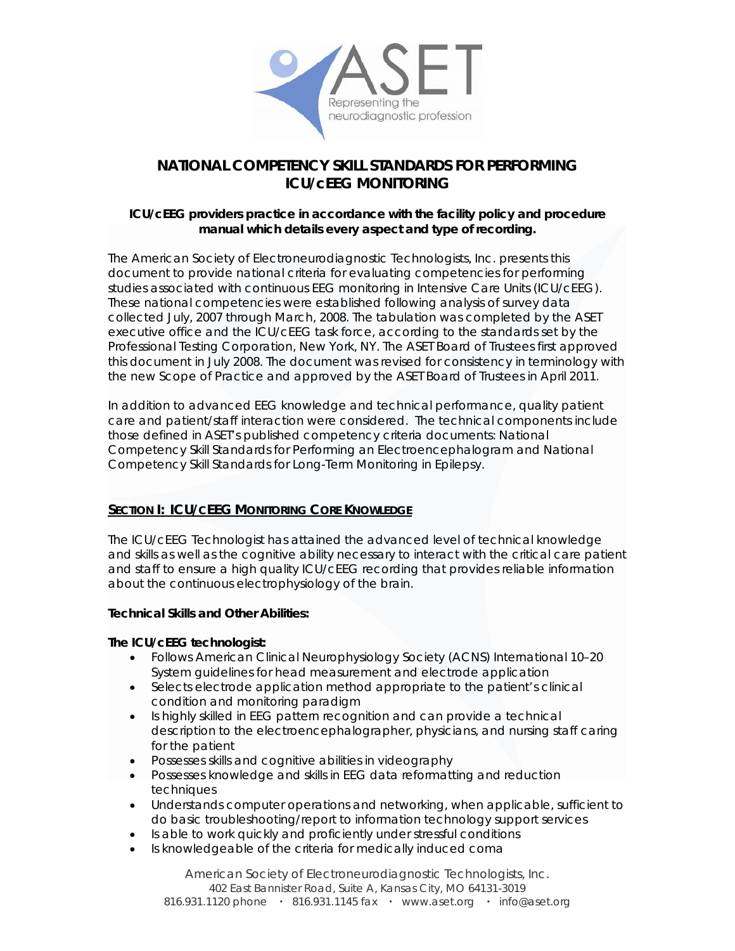

# **NATIONAL COMPETENCY SKILL STANDARDS FOR PERFORMING ICU/cEEG MONITORING**

# **ICU/cEEG providers practice in accordance with the facility policy and procedure manual which details every aspect and type of recording.**

The American Society of Electroneurodiagnostic Technologists, Inc. presents this document to provide national criteria for evaluating competencies for performing studies associated with continuous EEG monitoring in Intensive Care Units (ICU/cEEG). These national competencies were established following analysis of survey data collected July, 2007 through March, 2008. The tabulation was completed by the ASET executive office and the ICU/cEEG task force, according to the standards set by the Professional Testing Corporation, New York, NY. The ASET Board of Trustees first approved this document in July 2008. The document was revised for consistency in terminology with the new Scope of Practice and approved by the ASET Board of Trustees in April 2011.

In addition to advanced EEG knowledge and technical performance, quality patient care and patient/staff interaction were considered.The technical components include those defined in ASET's published competency criteria documents: *National Competency Skill Standards for Performing an Electroencephalogram* and *National Competency Skill Standards for Long-Term Monitoring in Epilepsy*.

# **SECTION I: ICU/CEEG MONITORING CORE KNOWLEDGE**

The ICU/cEEG Technologist has attained the advanced level of technical knowledge and skills as well as the cognitive ability necessary to interact with the critical care patient and staff to ensure a high quality ICU/cEEG recording that provides reliable information about the continuous electrophysiology of the brain.

# **Technical Skills and Other Abilities:**

### **The ICU/cEEG technologist:**

- Follows American Clinical Neurophysiology Society (ACNS) International 10–20 System guidelines for head measurement and electrode application
- Selects electrode application method appropriate to the patient's clinical condition and monitoring paradigm
- Is highly skilled in EEG pattern recognition and can provide a technical description to the electroencephalographer, physicians, and nursing staff caring for the patient
- Possesses skills and cognitive abilities in videography
- Possesses knowledge and skills in EEG data reformatting and reduction techniques
- Understands computer operations and networking, when applicable, sufficient to do basic troubleshooting/report to information technology support services
- Is able to work quickly and proficiently under stressful conditions
- Is knowledgeable of the criteria for medically induced coma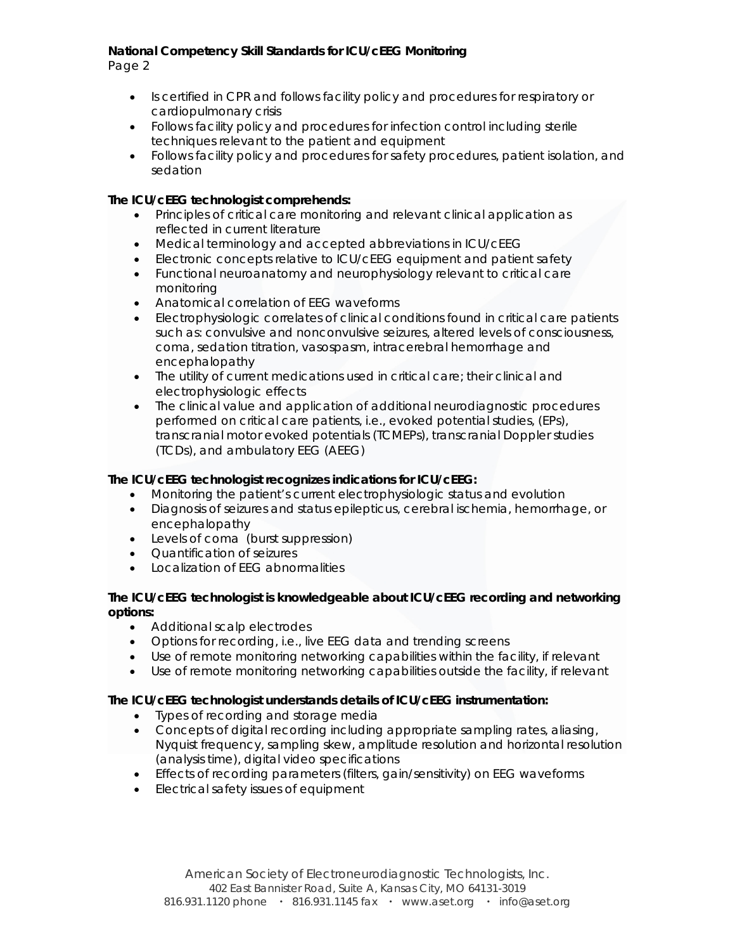Page 2

- Is certified in CPR and follows facility policy and procedures for respiratory or cardiopulmonary crisis
- Follows facility policy and procedures for infection control including sterile techniques relevant to the patient and equipment
- Follows facility policy and procedures for safety procedures, patient isolation, and sedation

# **The ICU/cEEG technologist comprehends:**

- Principles of critical care monitoring and relevant clinical application as reflected in current literature
- Medical terminology and accepted abbreviations in ICU/cEEG
- Electronic concepts relative to ICU/cEEG equipment and patient safety
- Functional neuroanatomy and neurophysiology relevant to critical care monitoring
- Anatomical correlation of EEG waveforms
- Electrophysiologic correlates of clinical conditions found in critical care patients such as: convulsive and nonconvulsive seizures, altered levels of consciousness, coma, sedation titration, vasospasm, intracerebral hemorrhage and encephalopathy
- The utility of current medications used in critical care; their clinical and electrophysiologic effects
- The clinical value and application of additional neurodiagnostic procedures performed on critical care patients, i.e., evoked potential studies, (EPs), transcranial motor evoked potentials (TCMEPs), transcranial Doppler studies (TCDs), and ambulatory EEG (AEEG)

### **The ICU/cEEG technologist recognizes indications for ICU/cEEG:**

- Monitoring the patient's current electrophysiologic status and evolution
- Diagnosis of seizures and status epilepticus, cerebral ischemia, hemorrhage, or encephalopathy
- Levels of coma (burst suppression)
- Quantification of seizures
- Localization of EEG abnormalities

### **The ICU/cEEG technologist is knowledgeable about ICU/cEEG recording and networking options:**

- Additional scalp electrodes
- Options for recording, i.e., live EEG data and trending screens
- Use of remote monitoring networking capabilities within the facility, if relevant
- Use of remote monitoring networking capabilities outside the facility, if relevant

### **The ICU/cEEG technologist understands details of ICU/cEEG instrumentation:**

- Types of recording and storage media
- Concepts of digital recording including appropriate sampling rates, aliasing, Nyquist frequency, sampling skew, amplitude resolution and horizontal resolution (analysis time), digital video specifications
- Effects of recording parameters (filters, gain/sensitivity) on EEG waveforms
- Electrical safety issues of equipment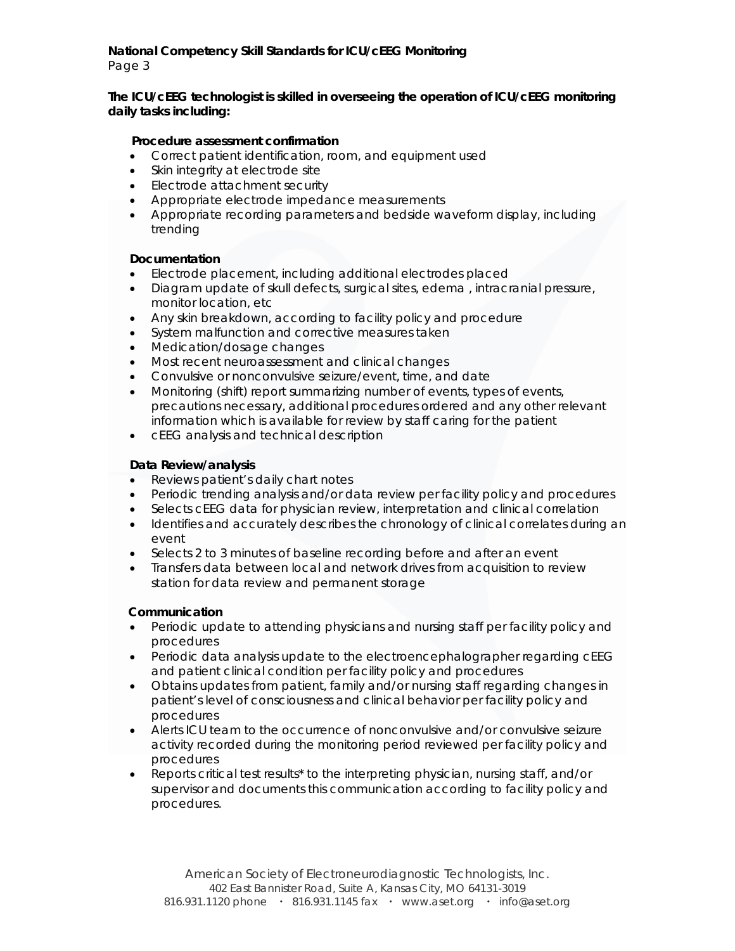**The ICU/cEEG technologist is skilled in overseeing the operation of ICU/cEEG monitoring daily tasks including:** 

### **Procedure assessment confirmation**

- Correct patient identification, room, and equipment used
- Skin integrity at electrode site
- Electrode attachment security
- Appropriate electrode impedance measurements
- Appropriate recording parameters and bedside waveform display, including trending

### **Documentation**

- Electrode placement, including additional electrodes placed
- Diagram update of skull defects, surgical sites, edema , intracranial pressure, monitor location, etc
- Any skin breakdown, according to facility policy and procedure
- System malfunction and corrective measures taken
- Medication/dosage changes
- Most recent neuroassessment and clinical changes
- Convulsive or nonconvulsive seizure/event, time, and date
- Monitoring (shift) report summarizing number of events, types of events, precautions necessary, additional procedures ordered and any other relevant information which is available for review by staff caring for the patient
- cEEG analysis and technical description

# **Data Review/analysis**

- Reviews patient's daily chart notes
- Periodic trending analysis and/or data review per facility policy and procedures
- Selects cEEG data for physician review, interpretation and clinical correlation
- Identifies and accurately describes the chronology of clinical correlates during an event
- Selects 2 to 3 minutes of baseline recording before and after an event
- Transfers data between local and network drives from acquisition to review station for data review and permanent storage

### **Communication**

- Periodic update to attending physicians and nursing staff per facility policy and procedures
- Periodic data analysis update to the electroencephalographer regarding cEEG and patient clinical condition per facility policy and procedures
- Obtains updates from patient, family and/or nursing staff regarding changes in patient's level of consciousness and clinical behavior per facility policy and procedures
- Alerts ICU team to the occurrence of nonconvulsive and/or convulsive seizure activity recorded during the monitoring period reviewed per facility policy and procedures
- Reports critical test results\* to the interpreting physician, nursing staff, and/or supervisor and documents this communication according to facility policy and procedures.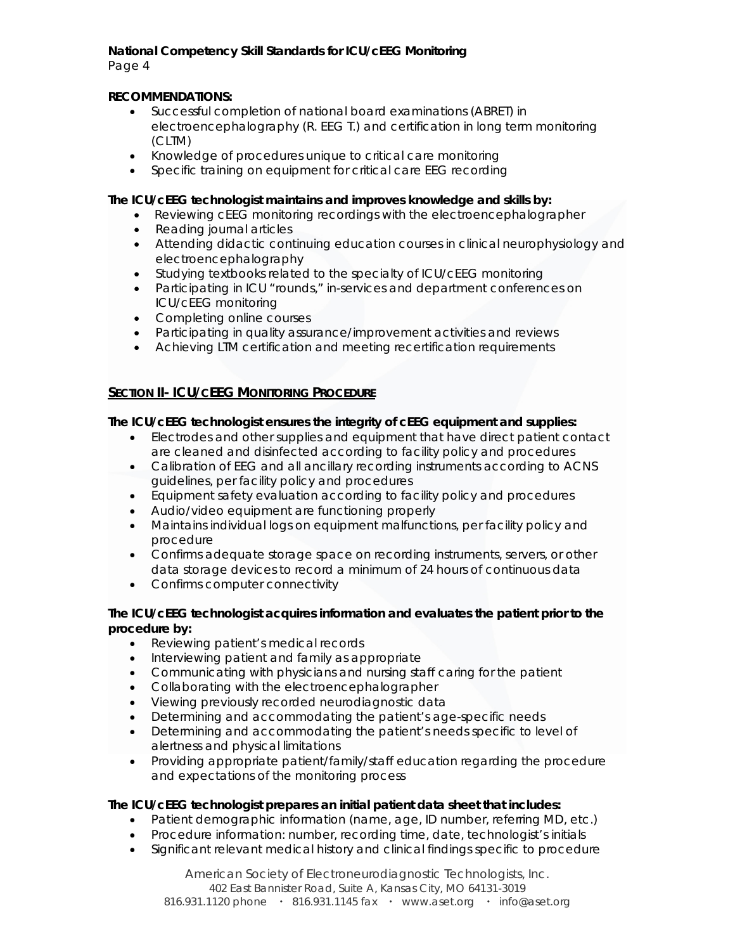Page 4

# **RECOMMENDATIONS:**

- Successful completion of national board examinations (ABRET) in electroencephalography (R. EEG T.) and certification in long term monitoring (CLTM)
- Knowledge of procedures unique to critical care monitoring
- Specific training on equipment for critical care EEG recording

### **The ICU/cEEG technologist maintains and improves knowledge and skills by:**

- Reviewing cEEG monitoring recordings with the electroencephalographer
- Reading journal articles
- Attending didactic continuing education courses in clinical neurophysiology and electroencephalography
- Studying textbooks related to the specialty of ICU/cEEG monitoring
- Participating in ICU "rounds," in-services and department conferences on ICU/cEEG monitoring
- Completing online courses
- Participating in quality assurance/improvement activities and reviews
- Achieving LTM certification and meeting recertification requirements

# **SECTION II- ICU/CEEG MONITORING PROCEDURE**

# **The ICU/cEEG technologist ensures the integrity of cEEG equipment and supplies:**

- Electrodes and other supplies and equipment that have direct patient contact are cleaned and disinfected according to facility policy and procedures
- Calibration of EEG and all ancillary recording instruments according to ACNS guidelines, per facility policy and procedures
- Equipment safety evaluation according to facility policy and procedures
- Audio/video equipment are functioning properly
- Maintains individual logs on equipment malfunctions, per facility policy and procedure
- Confirms adequate storage space on recording instruments, servers, or other data storage devices to record a minimum of 24 hours of continuous data
- Confirms computer connectivity

### **The ICU/cEEG technologist acquires information and evaluates the patient prior to the procedure by:**

- Reviewing patient's medical records
- Interviewing patient and family as appropriate
- Communicating with physicians and nursing staff caring for the patient
- Collaborating with the electroencephalographer
- Viewing previously recorded neurodiagnostic data
- Determining and accommodating the patient's age-specific needs
- Determining and accommodating the patient's needs specific to level of alertness and physical limitations
- Providing appropriate patient/family/staff education regarding the procedure and expectations of the monitoring process

### **The ICU/cEEG technologist prepares an initial patient data sheet that includes:**

- Patient demographic information (name, age, ID number, referring MD, etc.)
- Procedure information: number, recording time, date, technologist's initials
- Significant relevant medical history and clinical findings specific to procedure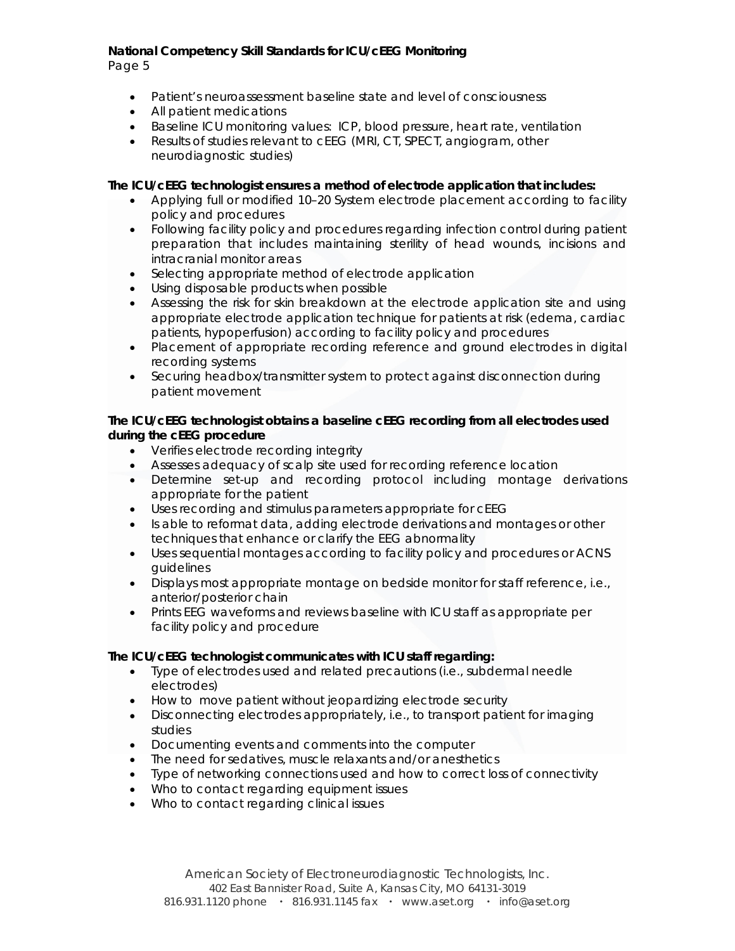Page 5

- Patient's neuroassessment baseline state and level of consciousness
- All patient medications
- Baseline ICU monitoring values: ICP, blood pressure, heart rate, ventilation
- Results of studies relevant to cEEG (MRI, CT, SPECT, angiogram, other neurodiagnostic studies)

### **The ICU/cEEG technologist ensures a method of electrode application that includes:**

- Applying full or modified 10–20 System electrode placement according to facility policy and procedures
- Following facility policy and procedures regarding infection control during patient preparation that includes maintaining sterility of head wounds, incisions and intracranial monitor areas
- Selecting appropriate method of electrode application
- Using disposable products when possible
- Assessing the risk for skin breakdown at the electrode application site and using appropriate electrode application technique for patients at risk (edema, cardiac patients, hypoperfusion) according to facility policy and procedures
- Placement of appropriate recording reference and ground electrodes in digital recording systems
- Securing headbox/transmitter system to protect against disconnection during patient movement

### **The ICU/cEEG technologist obtains a baseline cEEG recording from all electrodes used during the cEEG procedure**

- Verifies electrode recording integrity
- Assesses adequacy of scalp site used for recording reference location
- Determine set-up and recording protocol including montage derivations appropriate for the patient
- Uses recording and stimulus parameters appropriate for cEEG
- Is able to reformat data, adding electrode derivations and montages or other techniques that enhance or clarify the EEG abnormality
- Uses sequential montages according to facility policy and procedures or ACNS guidelines
- Displays most appropriate montage on bedside monitor for staff reference, i.e., anterior/posterior chain
- Prints EEG waveforms and reviews baseline with ICU staff as appropriate per facility policy and procedure

### **The ICU/cEEG technologist communicates with ICU staff regarding:**

- Type of electrodes used and related precautions (i.e., subdermal needle electrodes)
- How to move patient without jeopardizing electrode security
- Disconnecting electrodes appropriately, i.e., to transport patient for imaging studies
- Documenting events and comments into the computer
- The need for sedatives, muscle relaxants and/or anesthetics
- Type of networking connections used and how to correct loss of connectivity
- Who to contact regarding equipment issues
- Who to contact regarding clinical issues